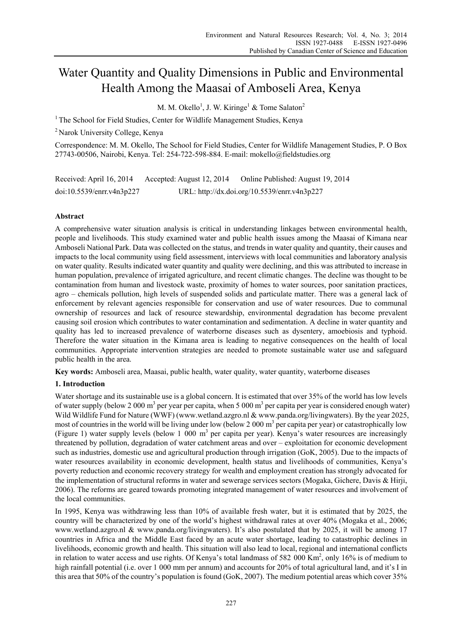# Water Quantity and Quality Dimensions in Public and Environmental Health Among the Maasai of Amboseli Area, Kenya

M. M. Okello<sup>1</sup>, J. W. Kiringe<sup>1</sup> & Tome Salaton<sup>2</sup>

<sup>1</sup> The School for Field Studies, Center for Wildlife Management Studies, Kenya

2 Narok University College, Kenya

Correspondence: M. M. Okello, The School for Field Studies, Center for Wildlife Management Studies, P. O Box 27743-00506, Nairobi, Kenya. Tel: 254-722-598-884. E-mail: mokello@fieldstudies.org

Received: April 16, 2014 Accepted: August 12, 2014 Online Published: August 19, 2014 doi:10.5539/enrr.v4n3p227 URL: http://dx.doi.org/10.5539/enrr.v4n3p227

# **Abstract**

A comprehensive water situation analysis is critical in understanding linkages between environmental health, people and livelihoods. This study examined water and public health issues among the Maasai of Kimana near Amboseli National Park. Data was collected on the status, and trends in water quality and quantity, their causes and impacts to the local community using field assessment, interviews with local communities and laboratory analysis on water quality. Results indicated water quantity and quality were declining, and this was attributed to increase in human population, prevalence of irrigated agriculture, and recent climatic changes. The decline was thought to be contamination from human and livestock waste, proximity of homes to water sources, poor sanitation practices, agro – chemicals pollution, high levels of suspended solids and particulate matter. There was a general lack of enforcement by relevant agencies responsible for conservation and use of water resources. Due to communal ownership of resources and lack of resource stewardship, environmental degradation has become prevalent causing soil erosion which contributes to water contamination and sedimentation. A decline in water quantity and quality has led to increased prevalence of waterborne diseases such as dysentery, amoebiosis and typhoid. Therefore the water situation in the Kimana area is leading to negative consequences on the health of local communities. Appropriate intervention strategies are needed to promote sustainable water use and safeguard public health in the area.

**Key words:** Amboseli area, Maasai, public health, water quality, water quantity, waterborne diseases

# **1. Introduction**

Water shortage and its sustainable use is a global concern. It is estimated that over 35% of the world has low levels of water supply (below 2 000 m<sup>3</sup> per year per capita, when 5 000 m<sup>3</sup> per capita per year is considered enough water) Wild Wildlife Fund for Nature (WWF) (www.wetland.azgro.nl & www.panda.org/livingwaters). By the year 2025, most of countries in the world will be living under low (below 2 000  $m<sup>3</sup>$  per capita per year) or catastrophically low (Figure 1) water supply levels (below 1 000  $m<sup>3</sup>$  per capita per year). Kenya's water resources are increasingly threatened by pollution, degradation of water catchment areas and over – exploitation for economic development such as industries, domestic use and agricultural production through irrigation (GoK, 2005). Due to the impacts of water resources availability in economic development, health status and livelihoods of communities, Kenya's poverty reduction and economic recovery strategy for wealth and employment creation has strongly advocated for the implementation of structural reforms in water and sewerage services sectors (Mogaka, Gichere, Davis & Hirji, 2006). The reforms are geared towards promoting integrated management of water resources and involvement of the local communities.

In 1995, Kenya was withdrawing less than 10% of available fresh water, but it is estimated that by 2025, the country will be characterized by one of the world's highest withdrawal rates at over 40% (Mogaka et al., 2006; www.wetland.azgro.nl & www.panda.org/livingwaters). It's also postulated that by 2025, it will be among 17 countries in Africa and the Middle East faced by an acute water shortage, leading to catastrophic declines in livelihoods, economic growth and health. This situation will also lead to local, regional and international conflicts in relation to water access and use rights. Of Kenya's total landmass of 582 000 Km<sup>2</sup>, only 16% is of medium to high rainfall potential (i.e. over 1 000 mm per annum) and accounts for 20% of total agricultural land, and it's I in this area that 50% of the country's population is found (GoK, 2007). The medium potential areas which cover 35%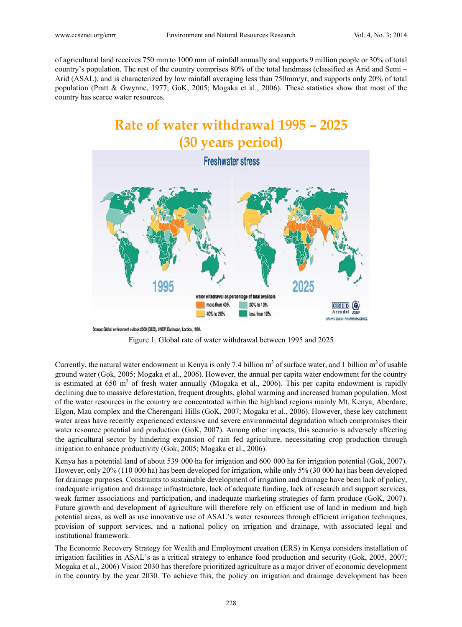of agricultural land receives 750 mm to 1000 mm of rainfall annually and supports 9 million people or 30% of total country's population. The rest of the country comprises 80% of the total landmass (classified as Arid and Semi – Arid (ASAL), and is characterized by low rainfall averaging less than 750mm/yr, and supports only 20% of total population (Pratt & Gwynne, 1977; GoK, 2005; Mogaka et al., 2006). These statistics show that most of the country has scarce water resources.



Figure 1. Global rate of water withdrawal between 1995 and 2025

Currently, the natural water endowment in Kenya is only 7.4 billion  $m<sup>3</sup>$  of surface water, and 1 billion  $m<sup>3</sup>$  of usable ground water (Gok, 2005; Mogaka et al., 2006). However, the annual per capita water endowment for the country is estimated at  $650 \text{ m}^3$  of fresh water annually (Mogaka et al., 2006). This per capita endowment is rapidly declining due to massive deforestation, frequent droughts, global warming and increased human population. Most of the water resources in the country are concentrated within the highland regions mainly Mt. Kenya, Aberdare, Elgon, Mau complex and the Cherengani Hills (GoK, 2007; Mogaka et al., 2006). However, these key catchment water areas have recently experienced extensive and severe environmental degradation which compromises their water resource potential and production (GoK, 2007). Among other impacts, this scenario is adversely affecting the agricultural sector by hindering expansion of rain fed agriculture, necessitating crop production through irrigation to enhance productivity (Gok, 2005; Mogaka et al., 2006).

Kenya has a potential land of about 539 000 ha for irrigation and 600 000 ha for irrigation potential (Gok, 2007). However, only 20% (110 000 ha) has been developed for irrigation, while only 5% (30 000 ha) has been developed for drainage purposes. Constraints to sustainable development of irrigation and drainage have been lack of policy, inadequate irrigation and drainage infrastructure, lack of adequate funding, lack of research and support services, weak farmer associations and participation, and inadequate marketing strategies of farm produce (GoK, 2007). Future growth and development of agriculture will therefore rely on efficient use of land in medium and high potential areas, as well as use innovative use of ASAL's water resources through efficient irrigation techniques, provision of support services, and a national policy on irrigation and drainage, with associated legal and institutional framework.

The Economic Recovery Strategy for Wealth and Employment creation (ERS) in Kenya considers installation of irrigation facilities in ASAL's as a critical strategy to enhance food production and security (Gok, 2005, 2007; Mogaka et al., 2006) Vision 2030 has therefore prioritized agriculture as a major driver of economic development in the country by the year 2030. To achieve this, the policy on irrigation and drainage development has been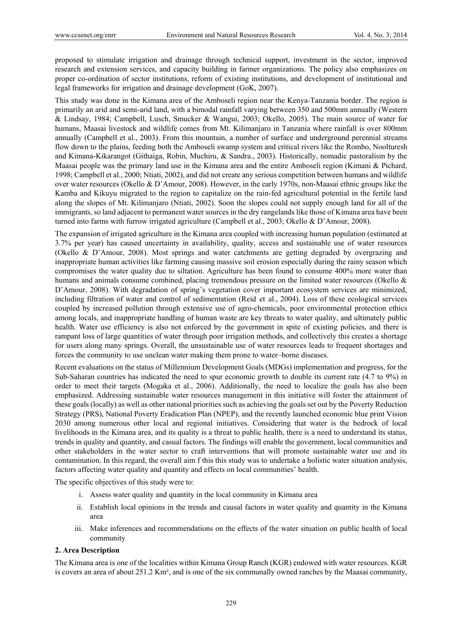proposed to stimulate irrigation and drainage through technical support, investment in the sector, improved research and extension services, and capacity building in farmer organizations. The policy also emphasizes on proper co-ordination of sector institutions, reform of existing institutions, and development of institutional and legal frameworks for irrigation and drainage development (GoK, 2007).

This study was done in the Kimana area of the Amboseli region near the Kenya-Tanzania border. The region is primarily an arid and semi-arid land, with a bimodal rainfall varying between 350 and 500mm annually (Western & Lindsay, 1984; Campbell, Lusch, Smucker & Wangui, 2003; Okello, 2005). The main source of water for humans, Maasai livestock and wildlife comes from Mt. Kilimanjaro in Tanzania where rainfall is over 800mm annually (Campbell et al., 2003). From this mountain, a number of surface and underground perennial streams flow down to the plains, feeding both the Amboseli swamp system and critical rivers like the Rombo, Noolturesh and Kimana-Kikarangot (Githaiga, Robin, Muchiru, & Sandra., 2003). Historically, nomadic pastoralism by the Maasai people was the primary land use in the Kimana area and the entire Amboseli region (Kimani & Pichard, 1998; Campbell et al., 2000; Ntiati, 2002), and did not create any serious competition between humans and wildlife over water resources (Okello & D'Amour, 2008). However, in the early 1970s, non-Maasai ethnic groups like the Kamba and Kikuyu migrated to the region to capitalize on the rain-fed agricultural potential in the fertile land along the slopes of Mt. Kilimanjaro (Ntiati, 2002). Soon the slopes could not supply enough land for all of the immigrants, so land adjacent to permanent water sources in the dry rangelands like those of Kimana area have been turned into farms with furrow irrigated agriculture (Campbell et al., 2003; Okello & D'Amour, 2008).

The expansion of irrigated agriculture in the Kimana area coupled with increasing human population (estimated at 3.7% per year) has caused uncertainty in availability, quality, access and sustainable use of water resources (Okello & D'Amour, 2008). Most springs and water catchments are getting degraded by overgrazing and inappropriate human activities like farming causing massive soil erosion especially during the rainy season which compromises the water quality due to siltation. Agriculture has been found to consume 400% more water than humans and animals consume combined, placing tremendous pressure on the limited water resources (Okello & D'Amour, 2008). With degradation of spring's vegetation cover important ecosystem services are minimized, including filtration of water and control of sedimentation (Reid et al., 2004). Loss of these ecological services coupled by increased pollution through extensive use of agro-chemicals, poor environmental protection ethics among locals, and inappropriate handling of human waste are key threats to water quality, and ultimately public health. Water use efficiency is also not enforced by the government in spite of existing policies, and there is rampant loss of large quantities of water through poor irrigation methods, and collectively this creates a shortage for users along many springs. Overall, the unsustainable use of water resources leads to frequent shortages and forces the community to use unclean water making them prone to water–borne diseases.

Recent evaluations on the status of Millennium Development Goals (MDGs) implementation and progress, for the Sub-Saharan countries has indicated the need to spur economic growth to double its current rate (4.7 to 9%) in order to meet their targets (Mogaka et al., 2006). Additionally, the need to localize the goals has also been emphasized. Addressing sustainable water resources management in this initiative will foster the attainment of these goals (locally) as well as other national priorities such as achieving the goals set out by the Poverty Reduction Strategy (PRS), National Poverty Eradication Plan (NPEP), and the recently launched economic blue print Vision 2030 among numerous other local and regional initiatives. Considering that water is the bedrock of local livelihoods in the Kimana area, and its quality is a threat to public health, there is a need to understand its status, trends in quality and quantity, and casual factors. The findings will enable the government, local communities and other stakeholders in the water sector to craft interventions that will promote sustainable water use and its contamination. In this regard, the overall aim f this this study was to undertake a holistic water situation analysis, factors affecting water quality and quantity and effects on local communities' health.

The specific objectives of this study were to:

- i. Assess water quality and quantity in the local community in Kimana area
- ii. Establish local opinions in the trends and causal factors in water quality and quantity in the Kimana area
- iii. Make inferences and recommendations on the effects of the water situation on public health of local community

#### **2. Area Description**

The Kimana area is one of the localities within Kimana Group Ranch (KGR) endowed with water resources. KGR is covers an area of about 251.2 Km², and is one of the six communally owned ranches by the Maasai community,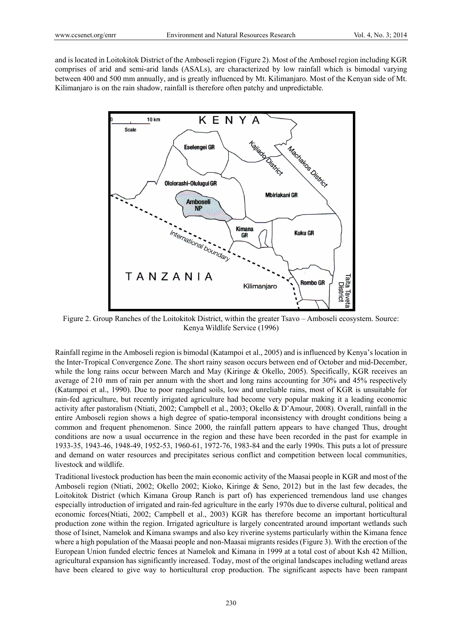and is located in Loitokitok District of the Amboseli region (Figure 2). Most of the Ambosel region including KGR comprises of arid and semi-arid lands (ASALs), are characterized by low rainfall which is bimodal varying between 400 and 500 mm annually, and is greatly influenced by Mt. Kilimanjaro. Most of the Kenyan side of Mt. Kilimanjaro is on the rain shadow, rainfall is therefore often patchy and unpredictable.



Figure 2. Group Ranches of the Loitokitok District, within the greater Tsavo – Amboseli ecosystem. Source: Kenya Wildlife Service (1996)

Rainfall regime in the Amboseli region is bimodal (Katampoi et al., 2005) and is influenced by Kenya's location in the Inter-Tropical Convergence Zone. The short rainy season occurs between end of October and mid-December, while the long rains occur between March and May (Kiringe & Okello, 2005). Specifically, KGR receives an average of 210 mm of rain per annum with the short and long rains accounting for 30% and 45% respectively (Katampoi et al., 1990). Due to poor rangeland soils, low and unreliable rains, most of KGR is unsuitable for rain-fed agriculture, but recently irrigated agriculture had become very popular making it a leading economic activity after pastoralism (Ntiati, 2002; Campbell et al., 2003; Okello & D'Amour, 2008). Overall, rainfall in the entire Amboseli region shows a high degree of spatio-temporal inconsistency with drought conditions being a common and frequent phenomenon. Since 2000, the rainfall pattern appears to have changed Thus, drought conditions are now a usual occurrence in the region and these have been recorded in the past for example in 1933-35, 1943-46, 1948-49, 1952-53, 1960-61, 1972-76, 1983-84 and the early 1990s. This puts a lot of pressure and demand on water resources and precipitates serious conflict and competition between local communities, livestock and wildlife.

Traditional livestock production has been the main economic activity of the Maasai people in KGR and most of the Amboseli region (Ntiati, 2002; Okello 2002; Kioko, Kiringe & Seno, 2012) but in the last few decades, the Loitokitok District (which Kimana Group Ranch is part of) has experienced tremendous land use changes especially introduction of irrigated and rain-fed agriculture in the early 1970s due to diverse cultural, political and economic forces(Ntiati, 2002; Campbell et al., 2003) KGR has therefore become an important horticultural production zone within the region. Irrigated agriculture is largely concentrated around important wetlands such those of Isinet, Namelok and Kimana swamps and also key riverine systems particularly within the Kimana fence where a high population of the Maasai people and non-Maasai migrants resides (Figure 3). With the erection of the European Union funded electric fences at Namelok and Kimana in 1999 at a total cost of about Ksh 42 Million, agricultural expansion has significantly increased. Today, most of the original landscapes including wetland areas have been cleared to give way to horticultural crop production. The significant aspects have been rampant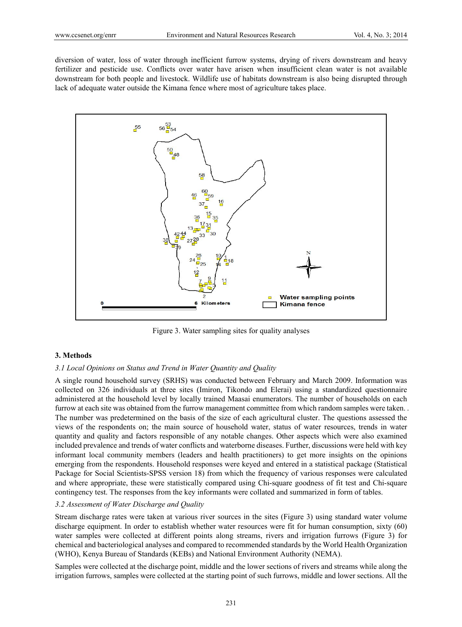diversion of water, loss of water through inefficient furrow systems, drying of rivers downstream and heavy fertilizer and pesticide use. Conflicts over water have arisen when insufficient clean water is not available downstream for both people and livestock. Wildlife use of habitats downstream is also being disrupted through lack of adequate water outside the Kimana fence where most of agriculture takes place.



Figure 3. Water sampling sites for quality analyses

## **3. Methods**

#### *3.1 Local Opinions on Status and Trend in Water Quantity and Quality*

A single round household survey (SRHS) was conducted between February and March 2009. Information was collected on 326 individuals at three sites (Imiron, Tikondo and Elerai) using a standardized questionnaire administered at the household level by locally trained Maasai enumerators. The number of households on each furrow at each site was obtained from the furrow management committee from which random samples were taken. . The number was predetermined on the basis of the size of each agricultural cluster. The questions assessed the views of the respondents on; the main source of household water, status of water resources, trends in water quantity and quality and factors responsible of any notable changes. Other aspects which were also examined included prevalence and trends of water conflicts and waterborne diseases. Further, discussions were held with key informant local community members (leaders and health practitioners) to get more insights on the opinions emerging from the respondents. Household responses were keyed and entered in a statistical package (Statistical Package for Social Scientists-SPSS version 18) from which the frequency of various responses were calculated and where appropriate, these were statistically compared using Chi-square goodness of fit test and Chi-square contingency test. The responses from the key informants were collated and summarized in form of tables.

## *3.2 Assessment of Water Discharge and Quality*

Stream discharge rates were taken at various river sources in the sites (Figure 3) using standard water volume discharge equipment. In order to establish whether water resources were fit for human consumption, sixty (60) water samples were collected at different points along streams, rivers and irrigation furrows (Figure 3) for chemical and bacteriological analyses and compared to recommended standards by the World Health Organization (WHO), Kenya Bureau of Standards (KEBs) and National Environment Authority (NEMA).

Samples were collected at the discharge point, middle and the lower sections of rivers and streams while along the irrigation furrows, samples were collected at the starting point of such furrows, middle and lower sections. All the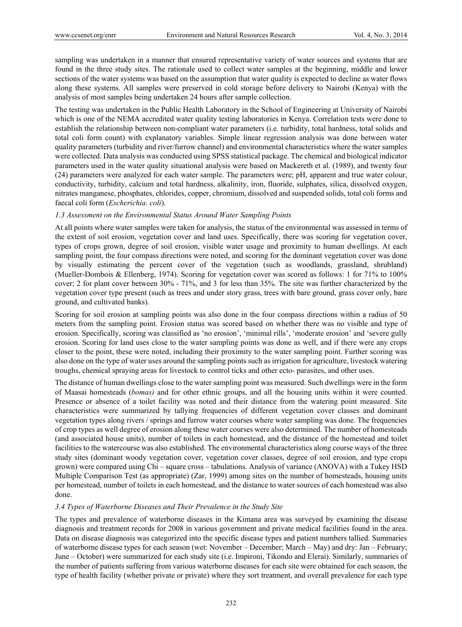sampling was undertaken in a manner that ensured representative variety of water sources and systems that are found in the three study sites. The rationale used to collect water samples at the beginning, middle and lower sections of the water systems was based on the assumption that water quality is expected to decline as water flows along these systems. All samples were preserved in cold storage before delivery to Nairobi (Kenya) with the analysis of most samples being undertaken 24 hours after sample collection.

The testing was undertaken in the Public Health Laboratory in the School of Engineering at University of Nairobi which is one of the NEMA accredited water quality testing laboratories in Kenya. Correlation tests were done to establish the relationship between non-compliant water parameters (i.e. turbidity, total hardness, total solids and total coli form count) with explanatory variables. Simple linear regression analysis was done between water quality parameters (turbidity and river/furrow channel) and environmental characteristics where the water samples were collected. Data analysis was conducted using SPSS statistical package. The chemical and biological indicator parameters used in the water quality situational analysis were based on Mackereth et al. (1989), and twenty four (24) parameters were analyzed for each water sample. The parameters were; pH, apparent and true water colour, conductivity, turbidity, calcium and total hardness, alkalinity, iron, fluoride, sulphates, silica, dissolved oxygen, nitrates manganese, phosphates, chlorides, copper, chromium, dissolved and suspended solids, total coli forms and faecal coli form (*Escherichia. coli*).

### *1.3 Assessment on the Environmental Status Around Water Sampling Points*

At all points where water samples were taken for analysis, the status of the environmental was assessed in terms of the extent of soil erosion, vegetation cover and land uses. Specifically, there was scoring for vegetation cover, types of crops grown, degree of soil erosion, visible water usage and proximity to human dwellings. At each sampling point, the four compass directions were noted, and scoring for the dominant vegetation cover was done by visually estimating the percent cover of the vegetation (such as woodlands, grassland, shrubland) (Mueller-Dombois & Ellenberg, 1974). Scoring for vegetation cover was scored as follows: 1 for 71% to 100% cover; 2 for plant cover between 30% - 71%, and 3 for less than 35%. The site was further characterized by the vegetation cover type present (such as trees and under story grass, trees with bare ground, grass cover only, bare ground, and cultivated banks).

Scoring for soil erosion at sampling points was also done in the four compass directions within a radius of 50 meters from the sampling point. Erosion status was scored based on whether there was no visible and type of erosion. Specifically, scoring was classified as 'no erosion', 'minimal rills', 'moderate erosion' and 'severe gully erosion. Scoring for land uses close to the water sampling points was done as well, and if there were any crops closer to the point, these were noted, including their proximity to the water sampling point. Further scoring was also done on the type of water uses around the sampling points such as irrigation for agriculture, livestock watering troughs, chemical spraying areas for livestock to control ticks and other ecto- parasites, and other uses.

The distance of human dwellings close to the water sampling point was measured. Such dwellings were in the form of Maasai homesteads (*bomas)* and for other ethnic groups, and all the housing units within it were counted. Presence or absence of a toilet facility was noted and their distance from the watering point measured. Site characteristics were summarized by tallying frequencies of different vegetation cover classes and dominant vegetation types along rivers / springs and furrow water courses where water sampling was done. The frequencies of crop types as well degree of erosion along these water courses were also determined. The number of homesteads (and associated house units), number of toilets in each homestead, and the distance of the homestead and toilet facilities to the watercourse was also established. The environmental characteristics along course ways of the three study sites (dominant woody vegetation cover, vegetation cover classes, degree of soil erosion, and type crops grown) were compared using Chi – square cross – tabulations. Analysis of variance (ANOVA) with a Tukey HSD Multiple Comparison Test (as appropriate) (Zar, 1999) among sites on the number of homesteads, housing units per homestead, number of toilets in each homestead, and the distance to water sources of each homestead was also done.

## *3.4 Types of Waterborne Diseases and Their Prevalence in the Study Site*

The types and prevalence of waterborne diseases in the Kimana area was surveyed by examining the disease diagnosis and treatment records for 2008 in various government and private medical facilities found in the area. Data on disease diagnosis was categorized into the specific disease types and patient numbers tallied. Summaries of waterborne disease types for each season (wet: November – December; March – May) and dry: Jan – February; June – October) were summarized for each study site (i.e. Impironi, Tikondo and Elerai). Similarly, summaries of the number of patients suffering from various waterborne diseases for each site were obtained for each season, the type of health facility (whether private or private) where they sort treatment, and overall prevalence for each type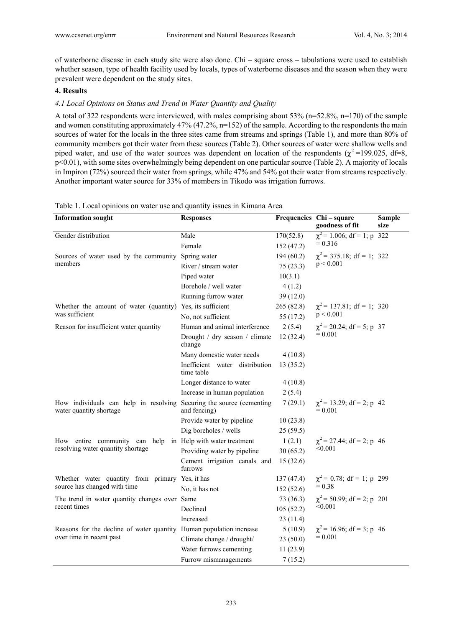of waterborne disease in each study site were also done. Chi – square cross – tabulations were used to establish whether season, type of health facility used by locals, types of waterborne diseases and the season when they were prevalent were dependent on the study sites.

# **4. Results**

## *4.1 Local Opinions on Status and Trend in Water Quantity and Quality*

A total of 322 respondents were interviewed, with males comprising about 53% (n=52.8%, n=170) of the sample and women constituting approximately 47% (47.2%, n=152) of the sample. According to the respondents the main sources of water for the locals in the three sites came from streams and springs (Table 1), and more than 80% of community members got their water from these sources (Table 2). Other sources of water were shallow wells and piped water, and use of the water sources was dependent on location of the respondents ( $\chi^2$ =199.025, df=8, p<0.01), with some sites overwhelmingly being dependent on one particular source (Table 2). A majority of locals in Impiron (72%) sourced their water from springs, while 47% and 54% got their water from streams respectively. Another important water source for 33% of members in Tikodo was irrigation furrows.

| <b>Information sought</b>                                                                       | <b>Responses</b>                             |            | Frequencies Chi - square<br>goodness of fit | <b>Sample</b><br>size |
|-------------------------------------------------------------------------------------------------|----------------------------------------------|------------|---------------------------------------------|-----------------------|
| Gender distribution                                                                             | Male                                         | 170(52.8)  | $\chi^2$ = 1.006; df = 1; p 322             |                       |
|                                                                                                 | Female                                       | 152 (47.2) | $= 0.316$                                   |                       |
| Sources of water used by the community Spring water                                             |                                              | 194(60.2)  | $\chi^2$ = 375.18; df = 1; 322              |                       |
| members                                                                                         | River / stream water                         | 75(23.3)   | p < 0.001                                   |                       |
|                                                                                                 | Piped water                                  | 10(3.1)    |                                             |                       |
|                                                                                                 | Borehole / well water                        | 4(1.2)     |                                             |                       |
|                                                                                                 | Running furrow water                         | 39(12.0)   |                                             |                       |
| Whether the amount of water (quantity)                                                          | Yes, its sufficient                          | 265 (82.8) | $\chi^2$ = 137.81; df = 1; 320              |                       |
| was sufficient                                                                                  | No, not sufficient                           | 55 (17.2)  | p < 0.001                                   |                       |
| Reason for insufficient water quantity                                                          | Human and animal interference                | 2(5.4)     | $\chi^2$ = 20.24; df = 5; p 37              |                       |
|                                                                                                 | Drought / dry season / climate<br>change     | 12(32.4)   | $= 0.001$                                   |                       |
|                                                                                                 | Many domestic water needs                    | 4(10.8)    |                                             |                       |
|                                                                                                 | Inefficient water distribution<br>time table | 13(35.2)   |                                             |                       |
|                                                                                                 | Longer distance to water                     | 4(10.8)    |                                             |                       |
|                                                                                                 | Increase in human population                 | 2(5.4)     |                                             |                       |
| How individuals can help in resolving Securing the source (cementing<br>water quantity shortage | and fencing)                                 | 7(29.1)    | $\chi^2$ = 13.29; df = 2; p 42<br>$= 0.001$ |                       |
|                                                                                                 | Provide water by pipeline                    | 10(23.8)   |                                             |                       |
|                                                                                                 | Dig boreholes / wells                        | 25(59.5)   |                                             |                       |
| How entire community can help                                                                   | in Help with water treatment                 | 1(2.1)     | $\chi^2$ = 27.44; df = 2; p 46              |                       |
| resolving water quantity shortage                                                               | Providing water by pipeline                  | 30(65.2)   | < 0.001                                     |                       |
|                                                                                                 | Cement irrigation canals and<br>furrows      | 15(32.6)   |                                             |                       |
| Whether water quantity from primary Yes, it has                                                 |                                              | 137(47.4)  | $\chi^2$ = 0.78; df = 1; p 299              |                       |
| source has changed with time                                                                    | No, it has not                               | 152(52.6)  | $= 0.38$                                    |                       |
| The trend in water quantity changes over Same                                                   |                                              | 73(36.3)   | $\chi^2$ = 50.99; df = 2; p 201<br>< 0.001  |                       |
| recent times                                                                                    | Declined                                     | 105(52.2)  |                                             |                       |
|                                                                                                 | Increased                                    | 23(11.4)   |                                             |                       |
| Reasons for the decline of water quantity Human population increase                             |                                              | 5(10.9)    | $\chi^2$ = 16.96; df = 3; p 46              |                       |
| over time in recent past                                                                        | Climate change / drought/                    | 23(50.0)   | $= 0.001$                                   |                       |
|                                                                                                 | Water furrows cementing                      | 11(23.9)   |                                             |                       |
|                                                                                                 | Furrow mismanagements                        | 7(15.2)    |                                             |                       |

Table 1. Local opinions on water use and quantity issues in Kimana Area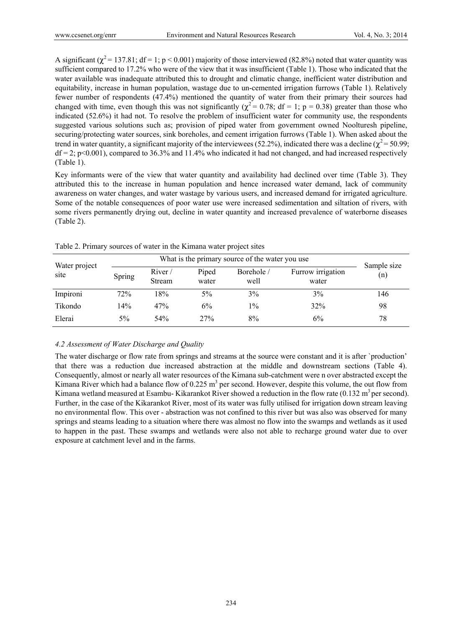A significant ( $\chi^2$  = 137.81; df = 1; p < 0.001) majority of those interviewed (82.8%) noted that water quantity was sufficient compared to 17.2% who were of the view that it was insufficient (Table 1). Those who indicated that the water available was inadequate attributed this to drought and climatic change, inefficient water distribution and equitability, increase in human population, wastage due to un-cemented irrigation furrows (Table 1). Relatively fewer number of respondents (47.4%) mentioned the quantity of water from their primary their sources had changed with time, even though this was not significantly ( $\chi^2$  = 0.78; df = 1; p = 0.38) greater than those who indicated (52.6%) it had not. To resolve the problem of insufficient water for community use, the respondents suggested various solutions such as; provision of piped water from government owned Noolturesh pipeline, securing/protecting water sources, sink boreholes, and cement irrigation furrows (Table 1). When asked about the trend in water quantity, a significant majority of the interviewees (52.2%), indicated there was a decline ( $\chi^2$  = 50.99;  $df = 2$ ; p<0.001), compared to 36.3% and 11.4% who indicated it had not changed, and had increased respectively (Table 1).

Key informants were of the view that water quantity and availability had declined over time (Table 3). They attributed this to the increase in human population and hence increased water demand, lack of community awareness on water changes, and water wastage by various users, and increased demand for irrigated agriculture. Some of the notable consequences of poor water use were increased sedimentation and siltation of rivers, with some rivers permanently drying out, decline in water quantity and increased prevalence of waterborne diseases (Table 2).

| Water project<br>site | What is the primary source of the water you use |                  |                |                    | Sample size                |     |
|-----------------------|-------------------------------------------------|------------------|----------------|--------------------|----------------------------|-----|
|                       | Spring                                          | River/<br>Stream | Piped<br>water | Borehole /<br>well | Furrow irrigation<br>water | (n) |
| Impironi              | 72%                                             | 18%              | 5%             | 3%                 | 3%                         | 146 |
| Tikondo               | 14%                                             | 47%              | 6%             | $1\%$              | 32%                        | 98  |
| Elerai                | 5%                                              | 54%              | 27%            | 8%                 | 6%                         | 78  |

Table 2. Primary sources of water in the Kimana water project sites

## *4.2 Assessment of Water Discharge and Quality*

The water discharge or flow rate from springs and streams at the source were constant and it is after `production' that there was a reduction due increased abstraction at the middle and downstream sections (Table 4). Consequently, almost or nearly all water resources of the Kimana sub-catchment were n over abstracted except the Kimana River which had a balance flow of  $0.225 \text{ m}^3$  per second. However, despite this volume, the out flow from Kimana wetland measured at Esambu- Kikarankot River showed a reduction in the flow rate (0.132 m<sup>3</sup> per second). Further, in the case of the Kikarankot River, most of its water was fully utilised for irrigation down stream leaving no environmental flow. This over - abstraction was not confined to this river but was also was observed for many springs and steams leading to a situation where there was almost no flow into the swamps and wetlands as it used to happen in the past. These swamps and wetlands were also not able to recharge ground water due to over exposure at catchment level and in the farms.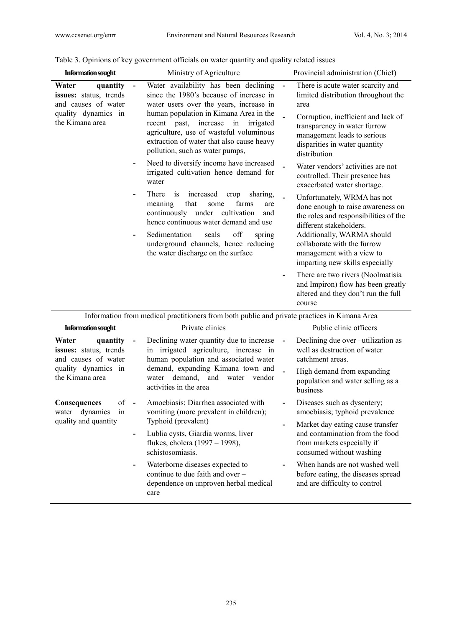| <b>Information sought</b>                                                                                                      | Ministry of Agriculture                                                                                                                                                                                                                                                                                                                | Provincial administration (Chief)                                                                                                                                                                                                                                          |
|--------------------------------------------------------------------------------------------------------------------------------|----------------------------------------------------------------------------------------------------------------------------------------------------------------------------------------------------------------------------------------------------------------------------------------------------------------------------------------|----------------------------------------------------------------------------------------------------------------------------------------------------------------------------------------------------------------------------------------------------------------------------|
|                                                                                                                                |                                                                                                                                                                                                                                                                                                                                        |                                                                                                                                                                                                                                                                            |
| Water<br>quantity<br>$\blacksquare$<br>issues: status, trends<br>and causes of water<br>quality dynamics in<br>the Kimana area | Water availability has been declining<br>since the 1980's because of increase in<br>water users over the years, increase in<br>human population in Kimana Area in the<br>recent past, increase in irrigated<br>agriculture, use of wasteful voluminous<br>extraction of water that also cause heavy<br>pollution, such as water pumps, | There is acute water scarcity and<br>$\frac{1}{2}$<br>limited distribution throughout the<br>area<br>$\overline{a}$<br>Corruption, inefficient and lack of<br>transparency in water furrow<br>management leads to serious<br>disparities in water quantity<br>distribution |
| $\overline{\phantom{0}}$                                                                                                       | Need to diversify income have increased<br>irrigated cultivation hence demand for<br>water                                                                                                                                                                                                                                             | Water vendors' activities are not<br>controlled. Their presence has<br>exacerbated water shortage.                                                                                                                                                                         |
| $\overline{\phantom{0}}$                                                                                                       | There<br>increased<br>is<br>crop<br>sharing,<br>that<br>meaning<br>farms<br>some<br>are<br>continuously under cultivation<br>and<br>hence continuous water demand and use<br>Sedimentation<br>seals<br>off<br>spring<br>underground channels, hence reducing<br>the water discharge on the surface                                     | Unfortunately, WRMA has not<br>done enough to raise awareness on<br>the roles and responsibilities of the<br>different stakeholders.<br>Additionally, WARMA should<br>collaborate with the furrow<br>management with a view to<br>imparting new skills especially          |
|                                                                                                                                |                                                                                                                                                                                                                                                                                                                                        | There are two rivers (Noolmatisia<br>and Impiron) flow has been greatly<br>altered and they don't run the full<br>course                                                                                                                                                   |
|                                                                                                                                | Information from medical practitioners from both public and private practices in Kimana Area                                                                                                                                                                                                                                           |                                                                                                                                                                                                                                                                            |
| <b>Information sought</b>                                                                                                      | Private clinics                                                                                                                                                                                                                                                                                                                        | Public clinic officers                                                                                                                                                                                                                                                     |
| Water<br>quantity<br>$\blacksquare$<br>issues: status, trends<br>and causes of water                                           | Declining water quantity due to increase<br>in irrigated agriculture, increase in<br>human population and associated water                                                                                                                                                                                                             | Declining due over-utilization as<br>$\qquad \qquad \blacksquare$<br>well as destruction of water<br>catchment areas.                                                                                                                                                      |
| quality dynamics in<br>the Kimana area                                                                                         | demand, expanding Kimana town and<br>water demand,<br>and water vendor<br>activities in the area                                                                                                                                                                                                                                       | High demand from expanding<br>population and water selling as a<br>business                                                                                                                                                                                                |
| $of -$<br>Consequences<br>water dynamics in<br>quality and quantity                                                            | Amoebiasis; Diarrhea associated with<br>vomiting (more prevalent in children);<br>Typhoid (prevalent)                                                                                                                                                                                                                                  | Diseases such as dysentery;<br>amoebiasis; typhoid prevalence                                                                                                                                                                                                              |
| $\overline{\phantom{a}}$                                                                                                       | Lublia cysts, Giardia worms, liver<br>flukes, cholera (1997 – 1998),<br>schistosomiasis.                                                                                                                                                                                                                                               | Market day eating cause transfer<br>and contamination from the food<br>from markets especially if<br>consumed without washing                                                                                                                                              |
| $\qquad \qquad \blacksquare$                                                                                                   | Waterborne diseases expected to<br>continue to due faith and over -<br>dependence on unproven herbal medical<br>care                                                                                                                                                                                                                   | When hands are not washed well<br>before eating, the diseases spread<br>and are difficulty to control                                                                                                                                                                      |

Table 3. Opinions of key government officials on water quantity and quality related issues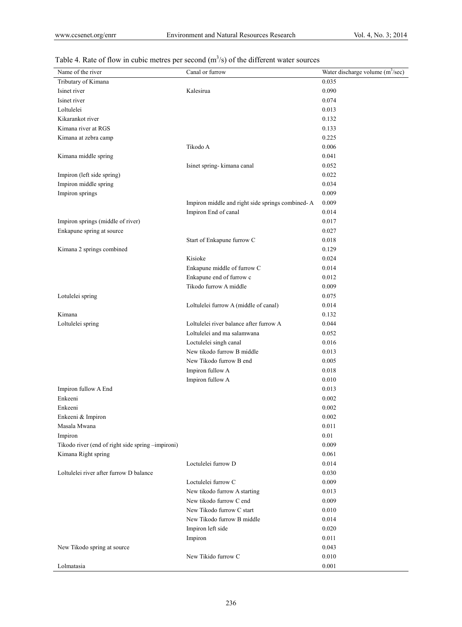| Name of the river                                 | Canal or furrow                                  | Water discharge volume $(m^3/sec)$ |
|---------------------------------------------------|--------------------------------------------------|------------------------------------|
| Tributary of Kimana                               |                                                  | 0.035                              |
| Isinet river                                      | Kalesirua                                        | 0.090                              |
| Isinet river                                      |                                                  | 0.074                              |
| Loltulelei                                        |                                                  | 0.013                              |
| Kikarankot river                                  |                                                  | 0.132                              |
| Kimana river at RGS                               |                                                  | 0.133                              |
| Kimana at zebra camp                              |                                                  | 0.225                              |
|                                                   | Tikodo A                                         | 0.006                              |
| Kimana middle spring                              |                                                  | 0.041                              |
|                                                   | Isinet spring-kimana canal                       | 0.052                              |
| Impiron (left side spring)                        |                                                  | 0.022                              |
| Impiron middle spring                             |                                                  | 0.034                              |
| Impiron springs                                   |                                                  | 0.009                              |
|                                                   | Impiron middle and right side springs combined-A | 0.009                              |
|                                                   | Impiron End of canal                             | 0.014                              |
| Impiron springs (middle of river)                 |                                                  | 0.017                              |
| Enkapune spring at source                         |                                                  | 0.027                              |
|                                                   | Start of Enkapune furrow C                       | 0.018                              |
| Kimana 2 springs combined                         |                                                  | 0.129                              |
|                                                   | Kisioke                                          | 0.024                              |
|                                                   | Enkapune middle of furrow C                      | 0.014                              |
|                                                   | Enkapune end of furrow c                         | 0.012                              |
|                                                   | Tikodo furrow A middle                           | 0.009                              |
| Lotulelei spring                                  |                                                  | 0.075                              |
|                                                   | Loltulelei furrow A (middle of canal)            | 0.014                              |
| Kimana                                            |                                                  | 0.132                              |
| Loltulelei spring                                 | Loltulelei river balance after furrow A          | 0.044                              |
|                                                   | Loltulelei and ma salamwana                      | 0.052                              |
|                                                   | Loctulelei singh canal                           | 0.016                              |
|                                                   | New tikodo furrow B middle                       | 0.013                              |
|                                                   | New Tikodo furrow B end                          | 0.005                              |
|                                                   | Impiron fullow A                                 | 0.018                              |
|                                                   | Impiron fullow A                                 | 0.010                              |
| Impiron fullow A End                              |                                                  | 0.013                              |
| Enkeeni                                           |                                                  | 0.002                              |
| Enkeeni                                           |                                                  | 0.002                              |
| Enkeeni & Impiron                                 |                                                  | 0.002                              |
| Masala Mwana                                      |                                                  | 0.011                              |
| Impiron                                           |                                                  | 0.01                               |
| Tikodo river (end of right side spring -impironi) |                                                  | 0.009                              |
| Kimana Right spring                               |                                                  | 0.061                              |
|                                                   | Loctulelei furrow D                              | 0.014                              |
| Loltulelei river after furrow D balance           |                                                  | 0.030                              |
|                                                   | Loctulelei furrow C                              | 0.009                              |
|                                                   | New tikodo furrow A starting                     | 0.013                              |
|                                                   | New tikodo furrow C end                          | 0.009                              |
|                                                   | New Tikodo furrow C start                        | 0.010                              |
|                                                   | New Tikodo furrow B middle                       | 0.014                              |
|                                                   | Impiron left side                                | 0.020                              |
|                                                   | Impiron                                          | 0.011                              |
| New Tikodo spring at source                       |                                                  | 0.043                              |
|                                                   | New Tikido furrow C                              | 0.010                              |
| Lolmatasia                                        |                                                  | 0.001                              |

# Table 4. Rate of flow in cubic metres per second  $(m<sup>3</sup>/s)$  of the different water sources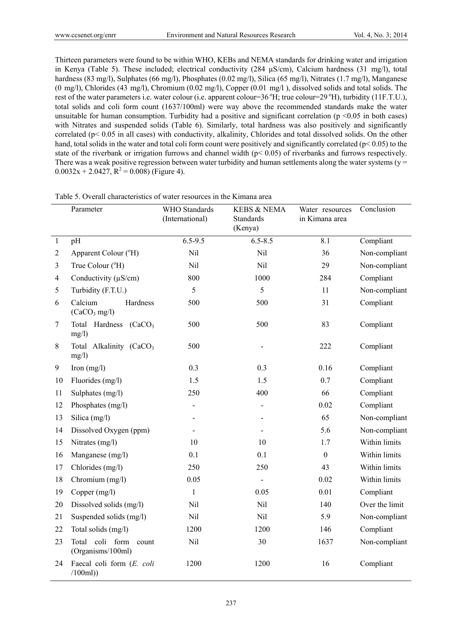Thirteen parameters were found to be within WHO, KEBs and NEMA standards for drinking water and irrigation in Kenya (Table 5). These included; electrical conductivity (284 µS/cm), Calcium hardness (31 mg/l), total hardness (83 mg/l), Sulphates (66 mg/l), Phosphates (0.02 mg/l), Silica (65 mg/l), Nitrates (1.7 mg/l), Manganese (0 mg/l), Chlorides (43 mg/l), Chromium (0.02 mg/l), Copper (0.01 mg/l ), dissolved solids and total solids. The rest of the water parameters i.e. water colour (i.e. apparent colour=36  $\mathrm{H}$ ; true colour=29  $\mathrm{H}$ ), turbidity (11F.T.U.), total solids and coli form count (1637/100ml) were way above the recommended standards make the water unsuitable for human consumption. Turbidity had a positive and significant correlation (p <0.05 in both cases) with Nitrates and suspended solids (Table 6). Similarly, total hardness was also positively and significantly correlated (p< 0.05 in all cases) with conductivity, alkalinity, Chlorides and total dissolved solids. On the other hand, total solids in the water and total coli form count were positively and significantly correlated ( $p< 0.05$ ) to the state of the riverbank or irrigation furrows and channel width ( $p < 0.05$ ) of riverbanks and furrows respectively. There was a weak positive regression between water turbidity and human settlements along the water systems ( $y =$  $0.0032x + 2.0427$ ,  $R^2 = 0.008$ ) (Figure 4).

|                  | Parameter                                       | <b>WHO</b> Standards<br>(International) | <b>KEBS &amp; NEMA</b><br><b>Standards</b><br>(Kenya) | Water resources<br>in Kimana area | Conclusion     |
|------------------|-------------------------------------------------|-----------------------------------------|-------------------------------------------------------|-----------------------------------|----------------|
| $\mathbf{1}$     | pH                                              | $6.5 - 9.5$                             | $6.5 - 8.5$                                           | 8.1                               | Compliant      |
| $\mathfrak{2}$   | Apparent Colour (°H)                            | Nil                                     | Nil                                                   | 36                                | Non-compliant  |
| 3                | True Colour (°H)                                | Nil                                     | Nil                                                   | 29                                | Non-compliant  |
| $\overline{4}$   | Conductivity ( $\mu$ S/cm)                      | 800                                     | 1000                                                  | 284                               | Compliant      |
| 5                | Turbidity (F.T.U.)                              | 5                                       | 5                                                     | 11                                | Non-compliant  |
| 6                | Calcium<br>Hardness<br>(CaCO <sub>3</sub> mg/l) | 500                                     | 500                                                   | 31                                | Compliant      |
| 7                | Total Hardness<br>(CaCO <sub>3</sub> )<br>mg/l) | 500                                     | 500                                                   | 83                                | Compliant      |
| 8                | Total Alkalinity (CaCO <sub>3</sub><br>mg/l)    | 500                                     |                                                       | 222                               | Compliant      |
| $\boldsymbol{9}$ | Iron $(mg/l)$                                   | 0.3                                     | 0.3                                                   | 0.16                              | Compliant      |
| 10               | Fluorides (mg/l)                                | 1.5                                     | 1.5                                                   | 0.7                               | Compliant      |
| 11               | Sulphates (mg/l)                                | 250                                     | 400                                                   | 66                                | Compliant      |
| 12               | Phosphates (mg/l)                               | $\overline{a}$                          |                                                       | 0.02                              | Compliant      |
| 13               | Silica (mg/l)                                   |                                         |                                                       | 65                                | Non-compliant  |
| 14               | Dissolved Oxygen (ppm)                          |                                         |                                                       | 5.6                               | Non-compliant  |
| 15               | Nitrates (mg/l)                                 | 10                                      | 10                                                    | 1.7                               | Within limits  |
| 16               | Manganese (mg/l)                                | 0.1                                     | 0.1                                                   | $\boldsymbol{0}$                  | Within limits  |
| 17               | Chlorides (mg/l)                                | 250                                     | 250                                                   | 43                                | Within limits  |
| 18               | Chromium (mg/l)                                 | 0.05                                    |                                                       | 0.02                              | Within limits  |
| 19               | Copper (mg/l)                                   | $\mathbf{1}$                            | 0.05                                                  | 0.01                              | Compliant      |
| 20               | Dissolved solids (mg/l)                         | Nil                                     | Nil                                                   | 140                               | Over the limit |
| 21               | Suspended solids (mg/l)                         | Nil                                     | Nil                                                   | 5.9                               | Non-compliant  |
| 22               | Total solids (mg/l)                             | 1200                                    | 1200                                                  | 146                               | Compliant      |
| 23               | Total coli form<br>count<br>(Organisms/100ml)   | Nil                                     | 30                                                    | 1637                              | Non-compliant  |
| 24               | Faecal coli form (E. coli<br>(100ml)            | 1200                                    | 1200                                                  | 16                                | Compliant      |

Table 5. Overall characteristics of water resources in the Kimana area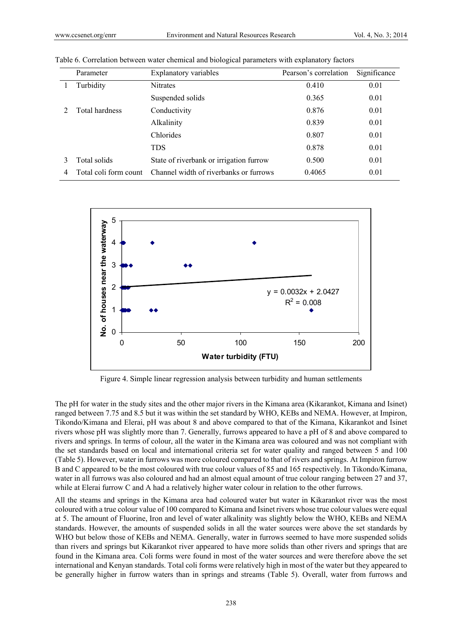|   | Parameter             | <b>Explanatory variables</b>            | Pearson's correlation | Significance |
|---|-----------------------|-----------------------------------------|-----------------------|--------------|
|   | Turbidity             | <b>Nitrates</b>                         | 0.410                 | 0.01         |
|   |                       | Suspended solids                        | 0.365                 | 0.01         |
|   | Total hardness        | Conductivity                            | 0.876                 | 0.01         |
|   |                       | Alkalinity                              | 0.839                 | 0.01         |
|   |                       | Chlorides                               | 0.807                 | 0.01         |
|   |                       | TDS                                     | 0.878                 | 0.01         |
|   | Total solids          | State of riverbank or irrigation furrow | 0.500                 | 0.01         |
| 4 | Total coli form count | Channel width of riverbanks or furrows  | 0.4065                | 0.01         |

Table 6. Correlation between water chemical and biological parameters with explanatory factors



Figure 4. Simple linear regression analysis between turbidity and human settlements

The pH for water in the study sites and the other major rivers in the Kimana area (Kikarankot, Kimana and Isinet) ranged between 7.75 and 8.5 but it was within the set standard by WHO, KEBs and NEMA. However, at Impiron, Tikondo/Kimana and Elerai, pH was about 8 and above compared to that of the Kimana, Kikarankot and Isinet rivers whose pH was slightly more than 7. Generally, furrows appeared to have a pH of 8 and above compared to rivers and springs. In terms of colour, all the water in the Kimana area was coloured and was not compliant with the set standards based on local and international criteria set for water quality and ranged between 5 and 100 (Table 5). However, water in furrows was more coloured compared to that of rivers and springs. At Impiron furrow B and C appeared to be the most coloured with true colour values of 85 and 165 respectively. In Tikondo/Kimana, water in all furrows was also coloured and had an almost equal amount of true colour ranging between 27 and 37, while at Elerai furrow C and A had a relatively higher water colour in relation to the other furrows.

All the steams and springs in the Kimana area had coloured water but water in Kikarankot river was the most coloured with a true colour value of 100 compared to Kimana and Isinet rivers whose true colour values were equal at 5. The amount of Fluorine, Iron and level of water alkalinity was slightly below the WHO, KEBs and NEMA standards. However, the amounts of suspended solids in all the water sources were above the set standards by WHO but below those of KEBs and NEMA. Generally, water in furrows seemed to have more suspended solids than rivers and springs but Kikarankot river appeared to have more solids than other rivers and springs that are found in the Kimana area. Coli forms were found in most of the water sources and were therefore above the set international and Kenyan standards. Total coli forms were relatively high in most of the water but they appeared to be generally higher in furrow waters than in springs and streams (Table 5). Overall, water from furrows and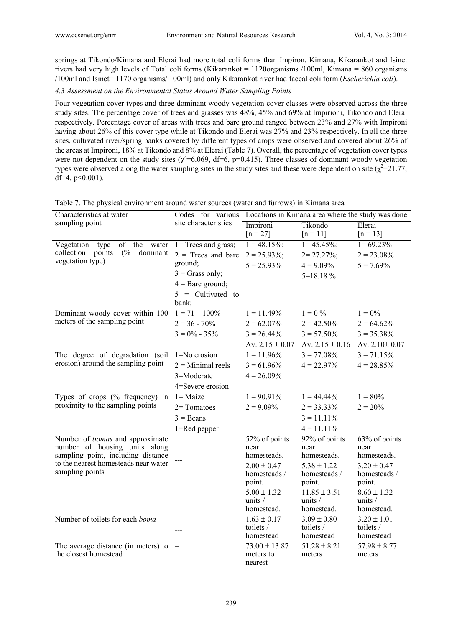springs at Tikondo/Kimana and Elerai had more total coli forms than Impiron. Kimana, Kikarankot and Isinet rivers had very high levels of Total coli forms (Kikarankot = 1120organisms /100ml, Kimana = 860 organisms /100ml and Isinet= 1170 organisms/ 100ml) and only Kikarankot river had faecal coli form (*Escherichia coli*).

## *4.3 Assessment on the Environmental Status Around Water Sampling Points*

Four vegetation cover types and three dominant woody vegetation cover classes were observed across the three study sites. The percentage cover of trees and grasses was 48%, 45% and 69% at Impirioni, Tikondo and Elerai respectively. Percentage cover of areas with trees and bare ground ranged between 23% and 27% with Impironi having about 26% of this cover type while at Tikondo and Elerai was 27% and 23% respectively. In all the three sites, cultivated river/spring banks covered by different types of crops were observed and covered about 26% of the areas at Impironi, 18% at Tikondo and 8% at Elerai (Table 7). Overall, the percentage of vegetation cover types were not dependent on the study sites ( $\chi^2$ =6.069, df=6, p=0.415). Three classes of dominant woody vegetation types were observed along the water sampling sites in the study sites and these were dependent on site  $(\chi^2=21.77,$ df=4,  $p<0.001$ ).

| Characteristics at water                                                   | Codes for various                    | Locations in Kimana area where the study was done |                                 |                                |
|----------------------------------------------------------------------------|--------------------------------------|---------------------------------------------------|---------------------------------|--------------------------------|
| sampling point                                                             | site characteristics                 | Impironi<br>$[n = 27]$                            | Tikondo<br>$[n = 11]$           | Elerai<br>$[n = 13]$           |
| Vegetation<br>type                                                         | of the water $1 = T$ rees and grass; | $1 = 48.15\%;$                                    | $1 = 45.45\%;$                  | $1 = 69.23\%$                  |
| collection points<br>$(\%$ dominant                                        | $2 = Trees$ and bare                 | $2 = 25.93\%;$                                    | $2=27.27\%;$                    | $2 = 23.08\%$                  |
| vegetation type)                                                           | ground;                              | $5 = 25.93\%$                                     | $4 = 9.09\%$                    | $5 = 7.69\%$                   |
|                                                                            | $3 =$ Grass only;                    |                                                   | $5=18.18\%$                     |                                |
|                                                                            | $4 = \text{Bare ground};$            |                                                   |                                 |                                |
|                                                                            | $5 =$ Cultivated to<br>bank;         |                                                   |                                 |                                |
| Dominant woody cover within 100                                            | $1 = 71 - 100\%$                     | $1 = 11.49\%$                                     | $1 = 0\%$                       | $1 = 0\%$                      |
| meters of the sampling point                                               | $2 = 36 - 70\%$                      | $2 = 62.07\%$                                     | $2 = 42.50\%$                   | $2 = 64.62\%$                  |
|                                                                            | $3 = 0\% - 35\%$                     | $3 = 26.44\%$                                     | $3 = 57.50\%$                   | $3 = 35.38\%$                  |
|                                                                            |                                      | Av. $2.15 \pm 0.07$                               | Av. $2.15 \pm 0.16$             | Av. $2.10 \pm 0.07$            |
| The degree of degradation (soil                                            | $1 = No$ erosion                     | $1 = 11.96\%$                                     | $3 = 77.08\%$                   | $3 = 71.15%$                   |
| erosion) around the sampling point                                         | $2 =$ Minimal reels                  | $3 = 61.96\%$                                     | $4 = 22.97\%$                   | $4 = 28.85\%$                  |
|                                                                            | 3=Moderate                           | $4 = 26.09\%$                                     |                                 |                                |
|                                                                            | 4=Severe erosion                     |                                                   |                                 |                                |
| Types of crops $(\%$ frequency) in                                         | $1 = Maize$                          | $1 = 90.91\%$                                     | $1 = 44.44\%$                   | $1 = 80\%$                     |
| proximity to the sampling points                                           | $2=$ Tomatoes                        | $2 = 9.09\%$                                      | $2 = 33.33\%$                   | $2 = 20%$                      |
|                                                                            | $3 =$ Beans                          |                                                   | $3 = 11.11\%$                   |                                |
|                                                                            | 1=Red pepper                         |                                                   | $4 = 11.11\%$                   |                                |
| Number of <i>bomas</i> and approximate                                     |                                      | 52% of points                                     | 92% of points                   | 63% of points                  |
| number of housing units along                                              |                                      | near                                              | near                            | near                           |
| sampling point, including distance<br>to the nearest homesteads near water |                                      | homesteads.<br>$2.00 \pm 0.47$                    | homesteads.                     | homesteads.<br>$3.20 \pm 0.47$ |
| sampling points                                                            |                                      | homesteads /                                      | $5.38 \pm 1.22$<br>homesteads / | homesteads /                   |
|                                                                            |                                      | point.                                            | point.                          | point.                         |
|                                                                            |                                      | $5.00 \pm 1.32$                                   | $11.85 \pm 3.51$                | $8.60 \pm 1.32$                |
|                                                                            |                                      | units $/$                                         | units $/$                       | units $/$                      |
|                                                                            |                                      | homestead.                                        | homestead.                      | homestead.                     |
| Number of toilets for each boma                                            |                                      | $1.63 \pm 0.17$<br>toilets /                      | $3.09 \pm 0.80$<br>toilets /    | $3.20 \pm 1.01$<br>toilets /   |
|                                                                            | ---                                  | homestead                                         | homestead                       | homestead                      |
| The average distance (in meters) to                                        | $=$                                  | $73.00 \pm 13.87$                                 | $51.28 \pm 8.21$                | $57.98 \pm 8.77$               |
| the closest homestead                                                      |                                      | meters to                                         | meters                          | meters                         |
|                                                                            |                                      | nearest                                           |                                 |                                |

#### Table 7. The physical environment around water sources (water and furrows) in Kimana area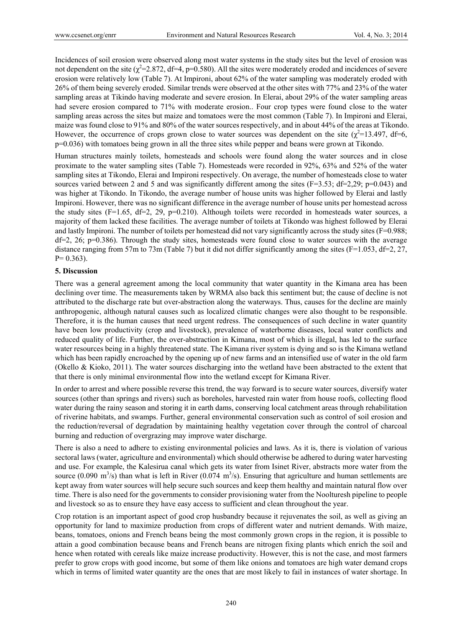Incidences of soil erosion were observed along most water systems in the study sites but the level of erosion was not dependent on the site  $(\chi^2=2.872, df=4, p=0.580)$ . All the sites were moderately eroded and incidences of severe erosion were relatively low (Table 7). At Impironi, about 62% of the water sampling was moderately eroded with 26% of them being severely eroded. Similar trends were observed at the other sites with 77% and 23% of the water sampling areas at Tikindo having moderate and severe erosion. In Elerai, about 29% of the water sampling areas had severe erosion compared to 71% with moderate erosion.. Four crop types were found close to the water sampling areas across the sites but maize and tomatoes were the most common (Table 7). In Impironi and Elerai, maize was found close to 91% and 80% of the water sources respectively, and in about 44% of the areas at Tikondo. However, the occurrence of crops grown close to water sources was dependent on the site  $(\chi^2=13.497, d\bar{f}=6,$ p=0.036) with tomatoes being grown in all the three sites while pepper and beans were grown at Tikondo.

Human structures mainly toilets, homesteads and schools were found along the water sources and in close proximate to the water sampling sites (Table 7). Homesteads were recorded in 92%, 63% and 52% of the water sampling sites at Tikondo, Elerai and Impironi respectively. On average, the number of homesteads close to water sources varied between 2 and 5 and was significantly different among the sites ( $F=3.53$ ;  $df=2.29$ ;  $p=0.043$ ) and was higher at Tikondo. In Tikondo, the average number of house units was higher followed by Elerai and lastly Impironi. However, there was no significant difference in the average number of house units per homestead across the study sites (F=1.65, df=2, 29, p=0.210). Although toilets were recorded in homesteads water sources, a majority of them lacked these facilities. The average number of toilets at Tikondo was highest followed by Elerai and lastly Impironi. The number of toilets per homestead did not vary significantly across the study sites (F=0.988;  $df=2$ , 26; p=0.386). Through the study sites, homesteads were found close to water sources with the average distance ranging from 57m to 73m (Table 7) but it did not differ significantly among the sites (F=1.053, df=2, 27,  $P= 0.363$ ).

#### **5. Discussion**

There was a general agreement among the local community that water quantity in the Kimana area has been declining over time. The measurements taken by WRMA also back this sentiment but; the cause of decline is not attributed to the discharge rate but over-abstraction along the waterways. Thus, causes for the decline are mainly anthropogenic, although natural causes such as localized climatic changes were also thought to be responsible. Therefore, it is the human causes that need urgent redress. The consequences of such decline in water quantity have been low productivity (crop and livestock), prevalence of waterborne diseases, local water conflicts and reduced quality of life. Further, the over-abstraction in Kimana, most of which is illegal, has led to the surface water resources being in a highly threatened state. The Kimana river system is dying and so is the Kimana wetland which has been rapidly encroached by the opening up of new farms and an intensified use of water in the old farm (Okello & Kioko, 2011). The water sources discharging into the wetland have been abstracted to the extent that that there is only minimal environmental flow into the wetland except for Kimana River.

In order to arrest and where possible reverse this trend, the way forward is to secure water sources, diversify water sources (other than springs and rivers) such as boreholes, harvested rain water from house roofs, collecting flood water during the rainy season and storing it in earth dams, conserving local catchment areas through rehabilitation of riverine habitats, and swamps. Further, general environmental conservation such as control of soil erosion and the reduction/reversal of degradation by maintaining healthy vegetation cover through the control of charcoal burning and reduction of overgrazing may improve water discharge.

There is also a need to adhere to existing environmental policies and laws. As it is, there is violation of various sectoral laws (water, agriculture and environmental) which should otherwise be adhered to during water harvesting and use. For example, the Kalesirua canal which gets its water from Isinet River, abstracts more water from the source (0.090 m<sup>3</sup>/s) than what is left in River (0.074 m<sup>3</sup>/s). Ensuring that agriculture and human settlements are kept away from water sources will help secure such sources and keep them healthy and maintain natural flow over time. There is also need for the governments to consider provisioning water from the Noolturesh pipeline to people and livestock so as to ensure they have easy access to sufficient and clean throughout the year.

Crop rotation is an important aspect of good crop husbandry because it rejuvenates the soil, as well as giving an opportunity for land to maximize production from crops of different water and nutrient demands. With maize, beans, tomatoes, onions and French beans being the most commonly grown crops in the region, it is possible to attain a good combination because beans and French beans are nitrogen fixing plants which enrich the soil and hence when rotated with cereals like maize increase productivity. However, this is not the case, and most farmers prefer to grow crops with good income, but some of them like onions and tomatoes are high water demand crops which in terms of limited water quantity are the ones that are most likely to fail in instances of water shortage. In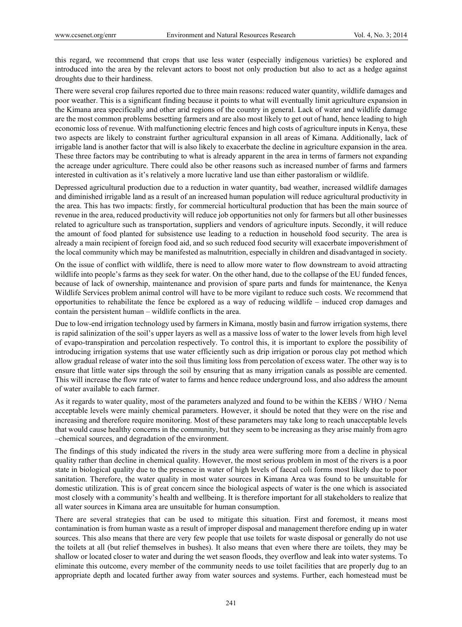this regard, we recommend that crops that use less water (especially indigenous varieties) be explored and introduced into the area by the relevant actors to boost not only production but also to act as a hedge against droughts due to their hardiness.

There were several crop failures reported due to three main reasons: reduced water quantity, wildlife damages and poor weather. This is a significant finding because it points to what will eventually limit agriculture expansion in the Kimana area specifically and other arid regions of the country in general. Lack of water and wildlife damage are the most common problems besetting farmers and are also most likely to get out of hand, hence leading to high economic loss of revenue. With malfunctioning electric fences and high costs of agriculture inputs in Kenya, these two aspects are likely to constraint further agricultural expansion in all areas of Kimana. Additionally, lack of irrigable land is another factor that will is also likely to exacerbate the decline in agriculture expansion in the area. These three factors may be contributing to what is already apparent in the area in terms of farmers not expanding the acreage under agriculture. There could also be other reasons such as increased number of farms and farmers interested in cultivation as it's relatively a more lucrative land use than either pastoralism or wildlife.

Depressed agricultural production due to a reduction in water quantity, bad weather, increased wildlife damages and diminished irrigable land as a result of an increased human population will reduce agricultural productivity in the area. This has two impacts: firstly, for commercial horticultural production that has been the main source of revenue in the area, reduced productivity will reduce job opportunities not only for farmers but all other businesses related to agriculture such as transportation, suppliers and vendors of agriculture inputs. Secondly, it will reduce the amount of food planted for subsistence use leading to a reduction in household food security. The area is already a main recipient of foreign food aid, and so such reduced food security will exacerbate impoverishment of the local community which may be manifested as malnutrition, especially in children and disadvantaged in society.

On the issue of conflict with wildlife, there is need to allow more water to flow downstream to avoid attracting wildlife into people's farms as they seek for water. On the other hand, due to the collapse of the EU funded fences, because of lack of ownership, maintenance and provision of spare parts and funds for maintenance, the Kenya Wildlife Services problem animal control will have to be more vigilant to reduce such costs. We recommend that opportunities to rehabilitate the fence be explored as a way of reducing wildlife – induced crop damages and contain the persistent human – wildlife conflicts in the area.

Due to low-end irrigation technology used by farmers in Kimana, mostly basin and furrow irrigation systems, there is rapid salinization of the soil's upper layers as well as a massive loss of water to the lower levels from high level of evapo-transpiration and percolation respectively. To control this, it is important to explore the possibility of introducing irrigation systems that use water efficiently such as drip irrigation or porous clay pot method which allow gradual release of water into the soil thus limiting loss from percolation of excess water. The other way is to ensure that little water sips through the soil by ensuring that as many irrigation canals as possible are cemented. This will increase the flow rate of water to farms and hence reduce underground loss, and also address the amount of water available to each farmer.

As it regards to water quality, most of the parameters analyzed and found to be within the KEBS / WHO / Nema acceptable levels were mainly chemical parameters. However, it should be noted that they were on the rise and increasing and therefore require monitoring. Most of these parameters may take long to reach unacceptable levels that would cause healthy concerns in the community, but they seem to be increasing as they arise mainly from agro –chemical sources, and degradation of the environment.

The findings of this study indicated the rivers in the study area were suffering more from a decline in physical quality rather than decline in chemical quality. However, the most serious problem in most of the rivers is a poor state in biological quality due to the presence in water of high levels of faecal coli forms most likely due to poor sanitation. Therefore, the water quality in most water sources in Kimana Area was found to be unsuitable for domestic utilization. This is of great concern since the biological aspects of water is the one which is associated most closely with a community's health and wellbeing. It is therefore important for all stakeholders to realize that all water sources in Kimana area are unsuitable for human consumption.

There are several strategies that can be used to mitigate this situation. First and foremost, it means most contamination is from human waste as a result of improper disposal and management therefore ending up in water sources. This also means that there are very few people that use toilets for waste disposal or generally do not use the toilets at all (but relief themselves in bushes). It also means that even where there are toilets, they may be shallow or located closer to water and during the wet season floods, they overflow and leak into water systems. To eliminate this outcome, every member of the community needs to use toilet facilities that are properly dug to an appropriate depth and located further away from water sources and systems. Further, each homestead must be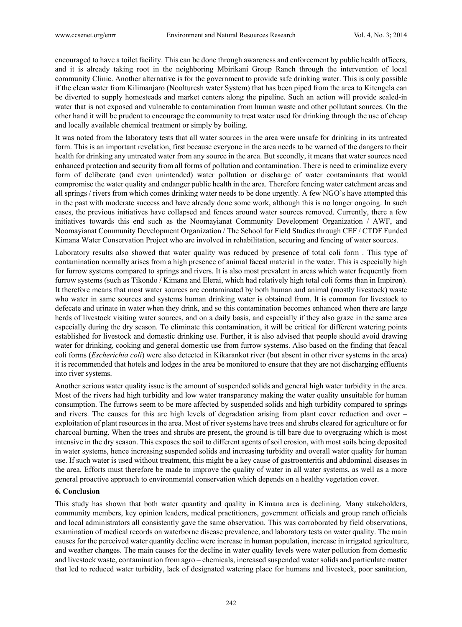encouraged to have a toilet facility. This can be done through awareness and enforcement by public health officers, and it is already taking root in the neighboring Mbirikani Group Ranch through the intervention of local community Clinic. Another alternative is for the government to provide safe drinking water. This is only possible if the clean water from Kilimanjaro (Noolturesh water System) that has been piped from the area to Kitengela can be diverted to supply homesteads and market centers along the pipeline. Such an action will provide sealed-in water that is not exposed and vulnerable to contamination from human waste and other pollutant sources. On the other hand it will be prudent to encourage the community to treat water used for drinking through the use of cheap and locally available chemical treatment or simply by boiling.

It was noted from the laboratory tests that all water sources in the area were unsafe for drinking in its untreated form. This is an important revelation, first because everyone in the area needs to be warned of the dangers to their health for drinking any untreated water from any source in the area. But secondly, it means that water sources need enhanced protection and security from all forms of pollution and contamination. There is need to criminalize every form of deliberate (and even unintended) water pollution or discharge of water contaminants that would compromise the water quality and endanger public health in the area. Therefore fencing water catchment areas and all springs / rivers from which comes drinking water needs to be done urgently. A few NGO's have attempted this in the past with moderate success and have already done some work, although this is no longer ongoing. In such cases, the previous initiatives have collapsed and fences around water sources removed. Currently, there a few initiatives towards this end such as the Noomayianat Community Development Organization / AWF, and Noomayianat Community Development Organization / The School for Field Studies through CEF / CTDF Funded Kimana Water Conservation Project who are involved in rehabilitation, securing and fencing of water sources.

Laboratory results also showed that water quality was reduced by presence of total coli form . This type of contamination normally arises from a high presence of animal faecal material in the water. This is especially high for furrow systems compared to springs and rivers. It is also most prevalent in areas which water frequently from furrow systems (such as Tikondo / Kimana and Elerai, which had relatively high total coli forms than in Impiron). It therefore means that most water sources are contaminated by both human and animal (mostly livestock) waste who water in same sources and systems human drinking water is obtained from. It is common for livestock to defecate and urinate in water when they drink, and so this contamination becomes enhanced when there are large herds of livestock visiting water sources, and on a daily basis, and especially if they also graze in the same area especially during the dry season. To eliminate this contamination, it will be critical for different watering points established for livestock and domestic drinking use. Further, it is also advised that people should avoid drawing water for drinking, cooking and general domestic use from furrow systems. Also based on the finding that feacal coli forms (*Escherichia coli*) were also detected in Kikarankot river (but absent in other river systems in the area) it is recommended that hotels and lodges in the area be monitored to ensure that they are not discharging effluents into river systems.

Another serious water quality issue is the amount of suspended solids and general high water turbidity in the area. Most of the rivers had high turbidity and low water transparency making the water quality unsuitable for human consumption. The furrows seem to be more affected by suspended solids and high turbidity compared to springs and rivers. The causes for this are high levels of degradation arising from plant cover reduction and over – exploitation of plant resources in the area. Most of river systems have trees and shrubs cleared for agriculture or for charcoal burning. When the trees and shrubs are present, the ground is till bare due to overgrazing which is most intensive in the dry season. This exposes the soil to different agents of soil erosion, with most soils being deposited in water systems, hence increasing suspended solids and increasing turbidity and overall water quality for human use. If such water is used without treatment, this might be a key cause of gastroenteritis and abdominal diseases in the area. Efforts must therefore be made to improve the quality of water in all water systems, as well as a more general proactive approach to environmental conservation which depends on a healthy vegetation cover.

### **6. Conclusion**

This study has shown that both water quantity and quality in Kimana area is declining. Many stakeholders, community members, key opinion leaders, medical practitioners, government officials and group ranch officials and local administrators all consistently gave the same observation. This was corroborated by field observations, examination of medical records on waterborne disease prevalence, and laboratory tests on water quality. The main causes for the perceived water quantity decline were increase in human population, increase in irrigated agriculture, and weather changes. The main causes for the decline in water quality levels were water pollution from domestic and livestock waste, contamination from agro – chemicals, increased suspended water solids and particulate matter that led to reduced water turbidity, lack of designated watering place for humans and livestock, poor sanitation,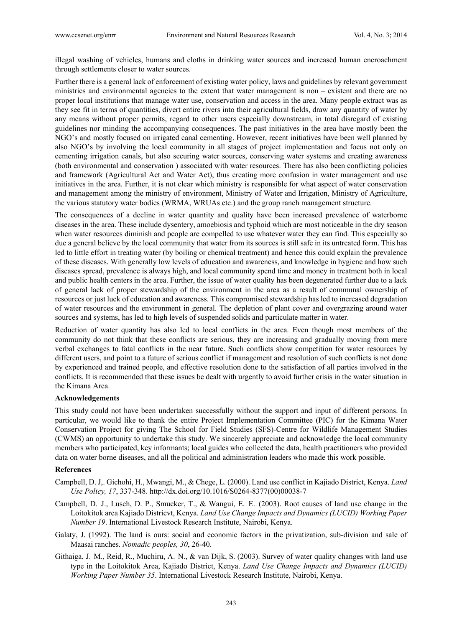illegal washing of vehicles, humans and cloths in drinking water sources and increased human encroachment through settlements closer to water sources.

Further there is a general lack of enforcement of existing water policy, laws and guidelines by relevant government ministries and environmental agencies to the extent that water management is non – existent and there are no proper local institutions that manage water use, conservation and access in the area. Many people extract was as they see fit in terms of quantities, divert entire rivers into their agricultural fields, draw any quantity of water by any means without proper permits, regard to other users especially downstream, in total disregard of existing guidelines nor minding the accompanying consequences. The past initiatives in the area have mostly been the NGO's and mostly focused on irrigated canal cementing. However, recent initiatives have been well planned by also NGO's by involving the local community in all stages of project implementation and focus not only on cementing irrigation canals, but also securing water sources, conserving water systems and creating awareness (both environmental and conservation ) associated with water resources. There has also been conflicting policies and framework (Agricultural Act and Water Act), thus creating more confusion in water management and use initiatives in the area. Further, it is not clear which ministry is responsible for what aspect of water conservation and management among the ministry of environment, Ministry of Water and Irrigation, Ministry of Agriculture, the various statutory water bodies (WRMA, WRUAs etc.) and the group ranch management structure.

The consequences of a decline in water quantity and quality have been increased prevalence of waterborne diseases in the area. These include dysentery, amoebiosis and typhoid which are most noticeable in the dry season when water resources diminish and people are compelled to use whatever water they can find. This especially so due a general believe by the local community that water from its sources is still safe in its untreated form. This has led to little effort in treating water (by boiling or chemical treatment) and hence this could explain the prevalence of these diseases. With generally low levels of education and awareness, and knowledge in hygiene and how such diseases spread, prevalence is always high, and local community spend time and money in treatment both in local and public health centers in the area. Further, the issue of water quality has been degenerated further due to a lack of general lack of proper stewardship of the environment in the area as a result of communal ownership of resources or just luck of education and awareness. This compromised stewardship has led to increased degradation of water resources and the environment in general. The depletion of plant cover and overgrazing around water sources and systems, has led to high levels of suspended solids and particulate matter in water.

Reduction of water quantity has also led to local conflicts in the area. Even though most members of the community do not think that these conflicts are serious, they are increasing and gradually moving from mere verbal exchanges to fatal conflicts in the near future. Such conflicts show competition for water resources by different users, and point to a future of serious conflict if management and resolution of such conflicts is not done by experienced and trained people, and effective resolution done to the satisfaction of all parties involved in the conflicts. It is recommended that these issues be dealt with urgently to avoid further crisis in the water situation in the Kimana Area.

#### **Acknowledgements**

This study could not have been undertaken successfully without the support and input of different persons. In particular, we would like to thank the entire Project Implementation Committee (PIC) for the Kimana Water Conservation Project for giving The School for Field Studies (SFS)-Centre for Wildlife Management Studies (CWMS) an opportunity to undertake this study. We sincerely appreciate and acknowledge the local community members who participated, key informants; local guides who collected the data, health practitioners who provided data on water borne diseases, and all the political and administration leaders who made this work possible.

#### **References**

- Campbell, D. J,. Gichohi, H., Mwangi, M., & Chege, L. (2000). Land use conflict in Kajiado District, Kenya. *Land Use Policy, 17*, 337-348. http://dx.doi.org/10.1016/S0264-8377(00)00038-7
- Campbell, D. J., Lusch, D. P., Smucker, T., & Wangui, E. E. (2003). Root causes of land use change in the Loitokitok area Kajiado Districvt, Kenya. *Land Use Change Impacts and Dynamics (LUCID) Working Paper Number 19*. International Livestock Research Institute, Nairobi, Kenya.
- Galaty, J. (1992). The land is ours: social and economic factors in the privatization, sub-division and sale of Maasai ranches. *Nomadic peoples, 30*, 26-40.
- Githaiga, J. M., Reid, R., Muchiru, A. N., & van Dijk, S. (2003). Survey of water quality changes with land use type in the Loitokitok Area, Kajiado District, Kenya. *Land Use Change Impacts and Dynamics (LUCID) Working Paper Number 35*. International Livestock Research Institute, Nairobi, Kenya.